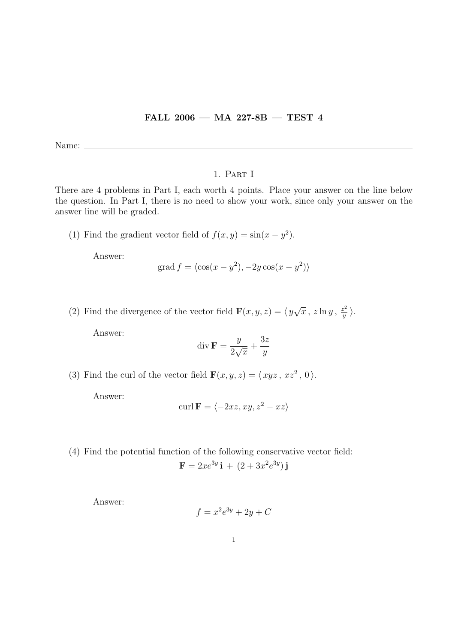## FALL 2006 — MA 227-8B — TEST 4

Name:  $\equiv$ 

## 1. Part I

There are 4 problems in Part I, each worth 4 points. Place your answer on the line below the question. In Part I, there is no need to show your work, since only your answer on the answer line will be graded.

(1) Find the gradient vector field of  $f(x, y) = \sin(x - y^2)$ .

Answer:

$$
\text{grad } f = \langle \cos(x - y^2), -2y \cos(x - y^2) \rangle
$$

(2) Find the divergence of the vector field  $\mathbf{F}(x, y, z) = \langle y \rangle$  $\sqrt{x}$ , z  $\ln y$ ,  $\frac{z^2}{y}$  $\frac{z^2}{y}$   $\Big\rangle$  .

Answer:

$$
\operatorname{div} \mathbf{F} = \frac{y}{2\sqrt{x}} + \frac{3z}{y}
$$

(3) Find the curl of the vector field  $\mathbf{F}(x, y, z) = \langle xyz, xz^2, 0 \rangle$ .

Answer:

$$
\operatorname{curl} \mathbf{F} = \langle -2xz, xy, z^2 - xz \rangle
$$

(4) Find the potential function of the following conservative vector field:

$$
\mathbf{F} = 2xe^{3y}\,\mathbf{i} + (2 + 3x^2e^{3y})\,\mathbf{j}
$$

Answer:

$$
f = x^2 e^{3y} + 2y + C
$$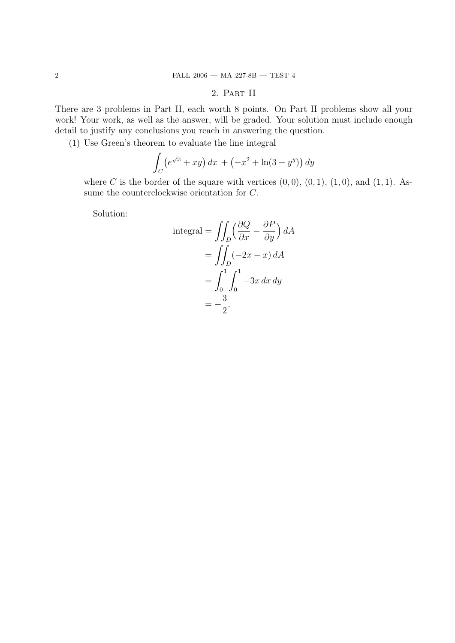## 2. Part II

There are 3 problems in Part II, each worth 8 points. On Part II problems show all your work! Your work, as well as the answer, will be graded. Your solution must include enough detail to justify any conclusions you reach in answering the question.

(1) Use Green's theorem to evaluate the line integral

$$
\int_C \left(e^{\sqrt{x}} + xy\right) dx + \left(-x^2 + \ln(3 + y^y)\right) dy
$$

where C is the border of the square with vertices  $(0, 0)$ ,  $(0, 1)$ ,  $(1, 0)$ , and  $(1, 1)$ . Assume the counterclockwise orientation for C.

Solution:

integral = 
$$
\iint_D \left(\frac{\partial Q}{\partial x} - \frac{\partial P}{\partial y}\right) dA
$$
  
= 
$$
\iint_D (-2x - x) dA
$$
  
= 
$$
\int_0^1 \int_0^1 -3x \, dx \, dy
$$
  
= 
$$
-\frac{3}{2}.
$$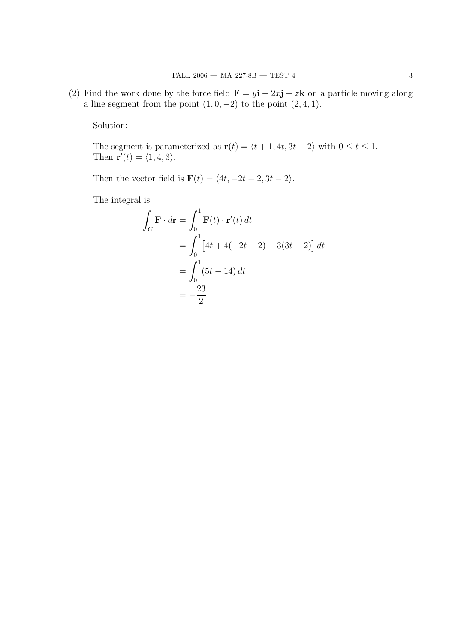(2) Find the work done by the force field  $\mathbf{F} = y\mathbf{i} - 2x\mathbf{j} + z\mathbf{k}$  on a particle moving along a line segment from the point  $(1, 0, -2)$  to the point  $(2, 4, 1)$ .

Solution:

The segment is parameterized as  $\mathbf{r}(t) = \langle t + 1, 4t, 3t - 2 \rangle$  with  $0 \le t \le 1$ . Then  $\mathbf{r}'(t) = \langle 1, 4, 3 \rangle$ .

Then the vector field is  $\mathbf{F}(t) = \langle 4t, -2t - 2, 3t - 2 \rangle.$ 

The integral is

$$
\int_C \mathbf{F} \cdot d\mathbf{r} = \int_0^1 \mathbf{F}(t) \cdot \mathbf{r}'(t) dt
$$

$$
= \int_0^1 \left[ 4t + 4(-2t - 2) + 3(3t - 2) \right] dt
$$

$$
= \int_0^1 (5t - 14) dt
$$

$$
= -\frac{23}{2}
$$